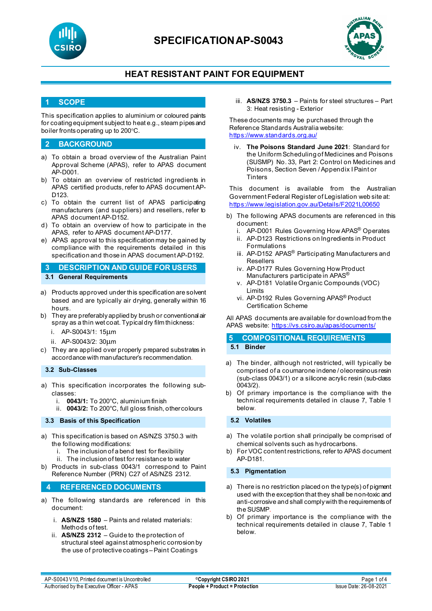

# **SPECIFICATIONAP-S0043**



## **HEAT RESISTANT PAINT FOR EQUIPMENT**

### **1 SCOPE**

This specification applies to aluminium or coloured paints for coating equipment subject to heat e.g., steam pipes and boiler fronts operating up to 200°C.

### **2 BACKGROUND**

- a) To obtain a broad overview of the Australian Paint Approval Scheme (APAS), refer to APAS document AP-D001.
- b) To obtain an overview of restricted ingredients in APAS certified products, refer to APAS document AP-D123.
- c) To obtain the current list of APAS participating manufacturers (and suppliers) and resellers, refer to APAS document AP-D152.
- d) To obtain an overview of how to participate in the APAS, refer to APAS document AP-D177.
- e) APAS approval to this specification may be gained by compliance with the requirements detailed in this specification and those in APAS document AP-D192.

**3 DESCRIPTION AND GUIDE FOR USERS 3.1 General Requirements**

- a) Products approved under this specification are solvent based and are typically air drying, generally within 16 hours.
- b) They are preferably applied by brush or conventional air spray as a thin wet coat. Typical dry film thickness:
	- i. AP-S0043/1: 15µm
	- ii. AP-S0043/2: 30µm
- c) They are applied over properly prepared substrates in accordance with manufacturer's recommendation.

#### **3.2 Sub-Classes**

- a) This specification incorporates the following subclasses:
	- i. **0043/1:** To 200°C, aluminium finish
	- ii. **0043/2:** To 200°C, full gloss finish, other colours

#### **3.3 Basis of this Specification**

- a) This specification is based on AS/NZS 3750.3 with the following modifications:
	- The inclusion of a bend test for flexibility
	- ii. The inclusion of test for resistance to water
- b) Products in sub-class 0043/1 correspond to Paint Reference Number (PRN) C27 of AS/NZS 2312.

### **4 REFERENCED DOCUMENTS**

- a) The following standards are referenced in this document:
	- i. **AS/NZS 1580** Paints and related materials: Methods of test.
	- ii. **AS/NZS 2312**  Guide to the protection of structural steel against atmospheric corrosion by the use of protective coatings – Paint Coatings

iii. **AS/NZS 3750.3** – Paints for steel structures – Part 3: Heat resisting - Exterior

These documents may be purchased through the Reference Standards Australia website: <https://www.standards.org.au/>

iv. **The Poisons Standard June 2021**: Standard for the Uniform Scheduling of Medicines and Poisons (SUSMP) No. 33, Part 2: Control on Medicines and Poisons, Section Seven / Appendix I Paint or **Tinters** 

This document is available from the Australian Government Federal Register of Legislation web site at: <https://www.legislation.gov.au/Details/F2021L00650>

- b) The following APAS documents are referenced in this document:
	- i. AP-D001 Rules Governing How APAS® Operates
	- ii. AP-D123 Restrictions on Ingredients in Product Formulations
	- iii. AP-D152 APAS<sup>®</sup> Participating Manufacturers and Resellers
	- iv. AP-D177 Rules Governing How Product Manufacturers participate in APAS®
	- v. AP-D181 Volatile Organic Compounds (VOC) Limits
	- vi. AP-D192 Rules Governing APAS® Product Certification Scheme

All APAS documents are available for download from the APAS website: <https://vs.csiro.au/apas/documents/>

# **5 COMPOSITIONAL REQUIREMENTS**

**5.1 Binder**

- a) The binder, although not restricted, will typically be comprised of a coumarone indene / oleoresinous resin (sub-class 0043/1) or a silicone acrylic resin (sub-class 0043/2).
- b) Of primary importance is the compliance with the technical requirements detailed in clause 7, Table 1 below.

#### **5.2 Volatiles**

- a) The volatile portion shall principally be comprised of chemical solvents such as hydrocarbons.
- b) For VOC content restrictions, refer to APAS document AP-D181.

#### **5.3 Pigmentation**

- a) There is no restriction placed on the type(s) of pigment used with the exception that they shall be non-toxic and anti-corrosive and shall comply with the requirements of the SUSMP.
- b) Of primary importance is the compliance with the technical requirements detailed in clause 7, Table 1 below.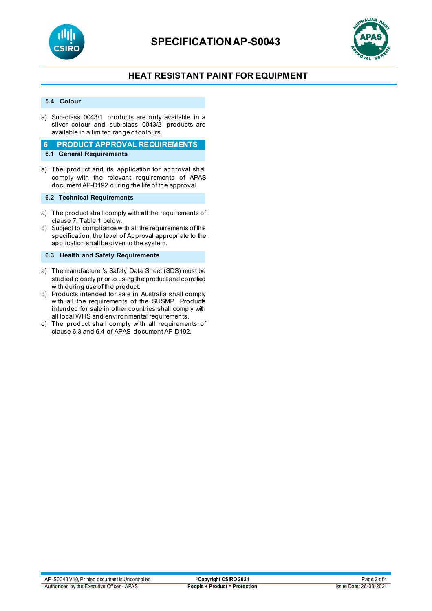



## **HEAT RESISTANT PAINT FOR EQUIPMENT**

#### **5.4 Colour**

a) Sub-class 0043/1 products are only available in a silver colour and sub-class 0043/2 products are available in a limited range of colours.

#### **6 PRODUCT APPROVAL REQUIREMENTS 6.1 General Requirements**

a) The product and its application for approval shall comply with the relevant requirements of APAS document AP-D192 during the life of the approval.

### **6.2 Technical Requirements**

- a) The product shall comply with **all** the requirements of clause 7, Table 1 below.
- b) Subject to compliance with all the requirements of this specification, the level of Approval appropriate to the application shall be given to the system.

**6.3 Health and Safety Requirements**

- a) The manufacturer's Safety Data Sheet (SDS) must be studied closely prior to using the product and complied with during use of the product.
- b) Products intended for sale in Australia shall comply with all the requirements of the SUSMP. Products intended for sale in other countries shall comply with all local WHS and environmental requirements.
- c) The product shall comply with all requirements of clause 6.3 and 6.4 of APAS document AP-D192.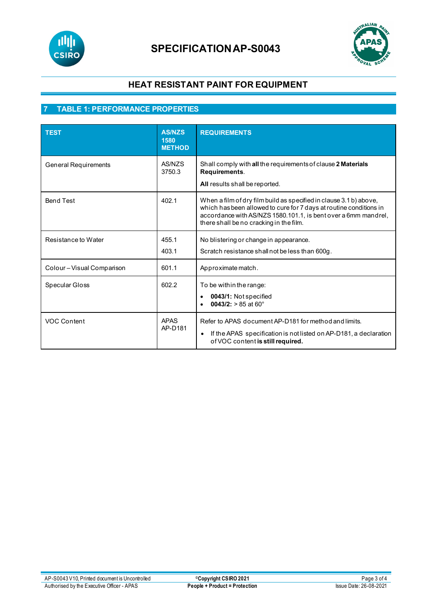

# **SPECIFICATIONAP-S0043**



## **HEAT RESISTANT PAINT FOR EQUIPMENT**

# **7 TABLE 1: PERFORMANCE PROPERTIES**

| <b>TEST</b>                 | <b>AS/NZS</b><br>1580<br><b>METHOD</b> | <b>REQUIREMENTS</b>                                                                                                                                                                                                                                   |
|-----------------------------|----------------------------------------|-------------------------------------------------------------------------------------------------------------------------------------------------------------------------------------------------------------------------------------------------------|
| <b>General Requirements</b> | AS/NZS<br>3750.3                       | Shall comply with all the requirements of clause 2 Materials<br>Requirements.<br>All results shall be reported.                                                                                                                                       |
| <b>Bend Test</b>            | 402.1                                  | When a film of dry film build as specified in clause 3.1 b) above,<br>which has been allowed to cure for 7 days at routine conditions in<br>accordance with AS/NZS 1580.101.1, is bent over a 6mm mandrel,<br>there shall be no cracking in the film. |
| Resistance to Water         | 455.1<br>403.1                         | No blistering or change in appearance.<br>Scratch resistance shall not be less than 600g.                                                                                                                                                             |
| Colour - Visual Comparison  | 601.1                                  | Approximate match.                                                                                                                                                                                                                                    |
| Specular Gloss              | 602.2                                  | To be within the range:<br>0043/1: Not specified<br>0043/2: $> 85$ at 60 $^{\circ}$                                                                                                                                                                   |
| VOC Content                 | <b>APAS</b><br>AP-D181                 | Refer to APAS document AP-D181 for method and limits.<br>If the APAS specification is not listed on AP-D181, a declaration<br>$\bullet$<br>of VOC content is still required.                                                                          |